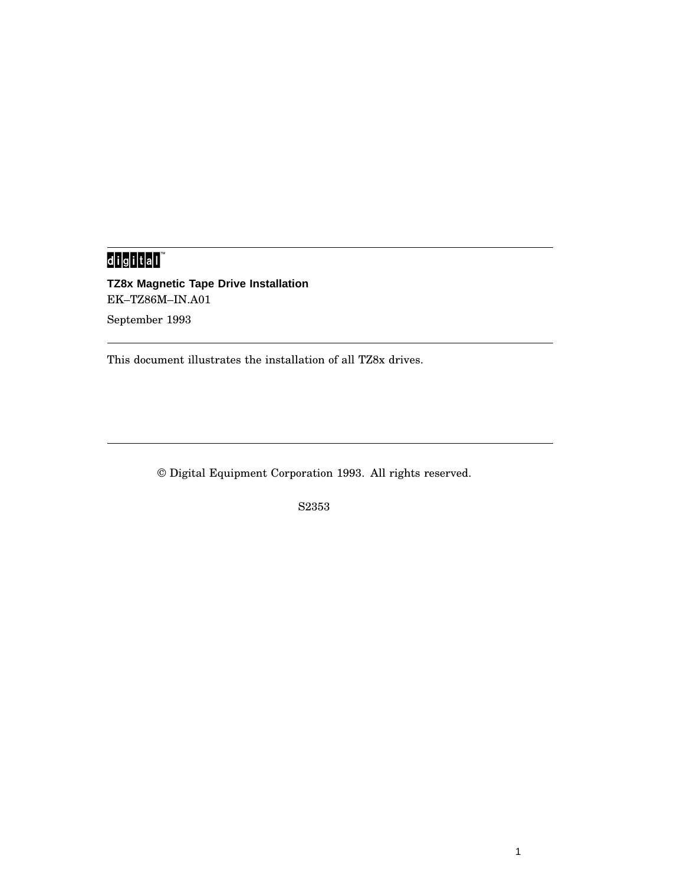# d<mark>igital</mark>

**TZ8x Magnetic Tape Drive Installation** EK–TZ86M–IN.A01 September 1993

This document illustrates the installation of all TZ8x drives.

© Digital Equipment Corporation 1993. All rights reserved.

S2353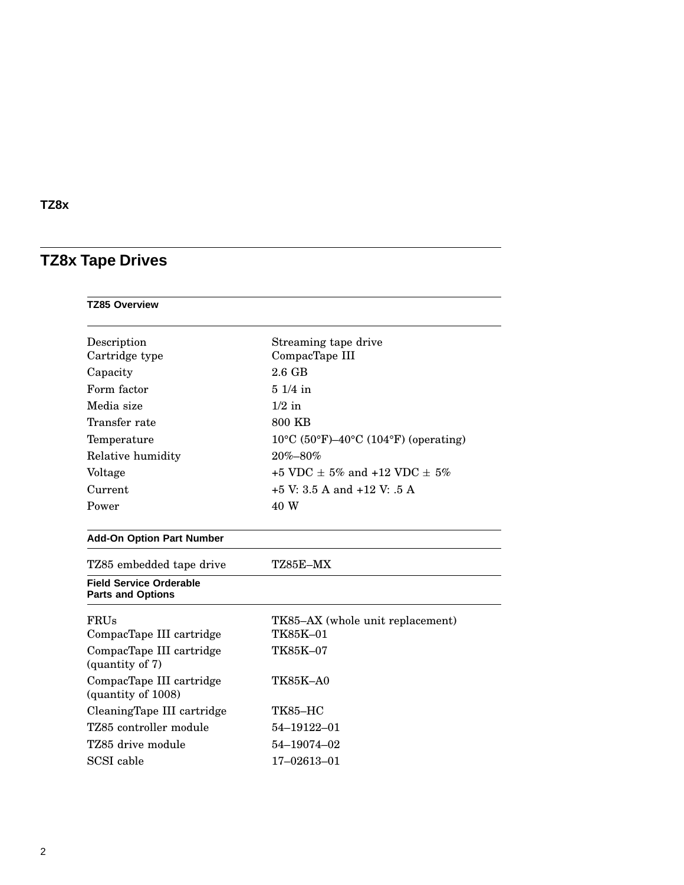## **TZ8x Tape Drives**

| <b>TZ85 Overview</b>                                       |                                                |  |
|------------------------------------------------------------|------------------------------------------------|--|
| Description                                                | Streaming tape drive                           |  |
| Cartridge type                                             | CompacTape III                                 |  |
| Capacity                                                   | $2.6$ GB                                       |  |
| Form factor                                                | $51/4$ in                                      |  |
| Media size                                                 | $1/2$ in                                       |  |
| Transfer rate                                              | 800 KB                                         |  |
| Temperature                                                | $10^{\circ}$ C (50°F)–40°C (104°F) (operating) |  |
| Relative humidity                                          | 20%-80%                                        |  |
| Voltage                                                    | +5 VDC $\pm$ 5% and +12 VDC $\pm$ 5%           |  |
| Current                                                    | $+5$ V: 3.5 A and $+12$ V: .5 A                |  |
| Power                                                      | 40 W                                           |  |
| <b>Add-On Option Part Number</b>                           |                                                |  |
| TZ85 embedded tape drive                                   | TZ85E-MX                                       |  |
| <b>Field Service Orderable</b><br><b>Parts and Options</b> |                                                |  |
| FRUs                                                       | TK85-AX (whole unit replacement)               |  |
| CompacTape III cartridge                                   | TK85K-01                                       |  |
| CompacTape III cartridge<br>(quantity of 7)                | TK85K-07                                       |  |
| CompacTape III cartridge<br>(quantity of 1008)             | <b>TK85K-A0</b>                                |  |
| CleaningTape III cartridge                                 | <b>TK85-HC</b>                                 |  |
| TZ85 controller module                                     | 54-19122-01                                    |  |
| TZ85 drive module                                          | 54-19074-02                                    |  |
| SCSI cable                                                 | 17-02613-01                                    |  |
|                                                            |                                                |  |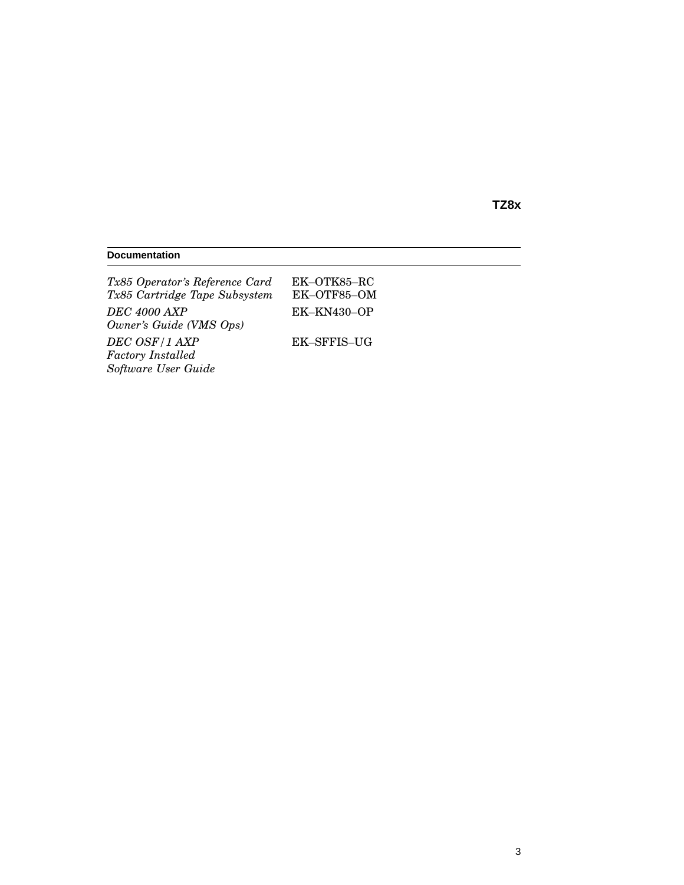#### **Documentation**

| Tx85 Operator's Reference Card | EK-OTK85-RC |
|--------------------------------|-------------|
| Tx85 Cartridge Tape Subsystem  | EK-OTF85-OM |
| <b>DEC</b> 4000 AXP            | EK-KN430-OP |
| Owner's Guide (VMS Ops)        |             |
| DEC OSF/1 AXP                  | EK-SFFIS-UG |
| <b>Factory</b> Installed       |             |
| Software User Guide            |             |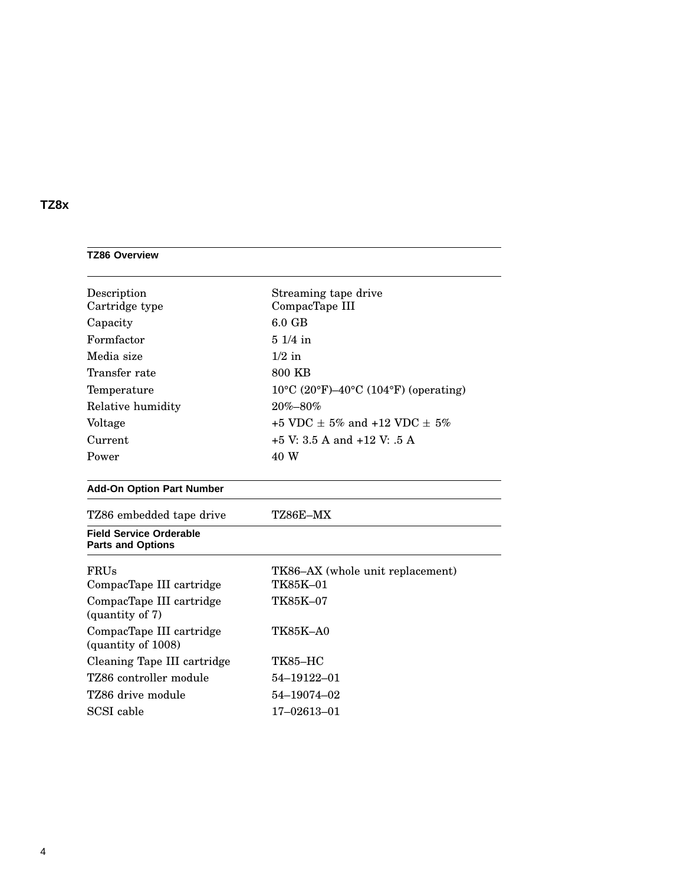| <b>TZ86 Overview</b>                                       |                                                                                 |  |
|------------------------------------------------------------|---------------------------------------------------------------------------------|--|
| Description                                                | Streaming tape drive                                                            |  |
| Cartridge type                                             | CompacTape III                                                                  |  |
| Capacity                                                   | $6.0$ GB                                                                        |  |
| Formfactor                                                 | $51/4$ in                                                                       |  |
| Media size                                                 | $1/2$ in                                                                        |  |
| Transfer rate                                              | 800 KB                                                                          |  |
| Temperature                                                | $10^{\circ}$ C (20 $^{\circ}$ F)-40 $^{\circ}$ C (104 $^{\circ}$ F) (operating) |  |
| Relative humidity                                          | 20%-80%                                                                         |  |
| Voltage                                                    | +5 VDC $+$ 5% and +12 VDC $+$ 5%                                                |  |
| Current                                                    | $+5$ V: 3.5 A and $+12$ V: .5 A                                                 |  |
| Power                                                      | 40 W                                                                            |  |
| <b>Add-On Option Part Number</b>                           |                                                                                 |  |
| TZ86 embedded tape drive                                   | TZ86E-MX                                                                        |  |
| <b>Field Service Orderable</b><br><b>Parts and Options</b> |                                                                                 |  |
| <b>FRUs</b>                                                | TK86-AX (whole unit replacement)                                                |  |
| CompacTape III cartridge                                   | TK85K-01                                                                        |  |
| CompacTape III cartridge<br>$\frac{1}{2}$ (quantity of 7)  | TK85K-07                                                                        |  |
| CompacTape III cartridge<br>(quantity of 1008)             | <b>TK85K-A0</b>                                                                 |  |
| Cleaning Tape III cartridge                                | <b>TK85-HC</b>                                                                  |  |
| TZ86 controller module                                     | 54-19122-01                                                                     |  |
| TZ86 drive module                                          | 54-19074-02                                                                     |  |
| SCSI cable                                                 | 17-02613-01                                                                     |  |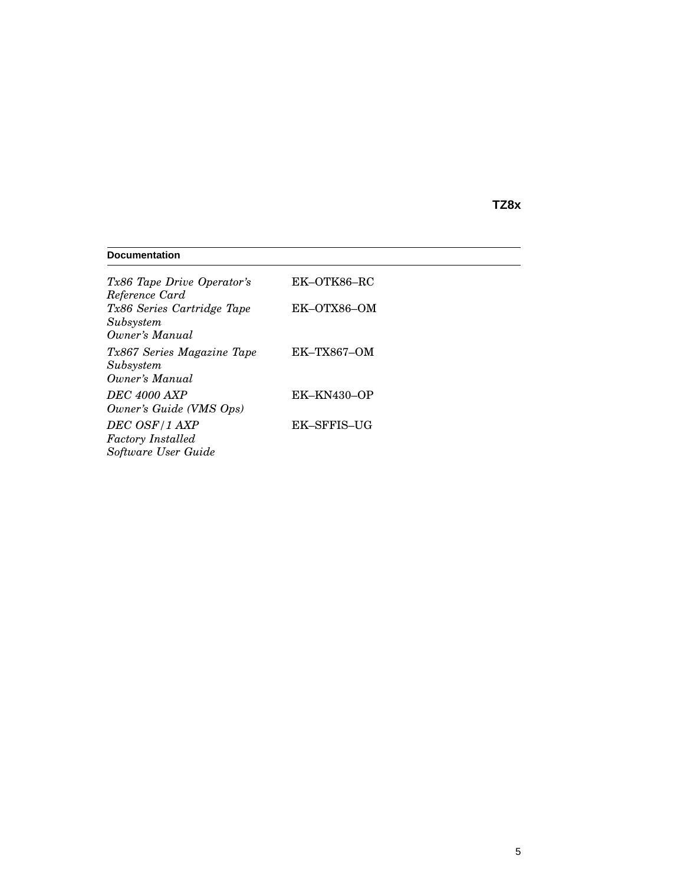#### **Documentation** *Tx86 Tape Drive Operator's Reference Card* EK–OTK86–RC *Tx86 Series Cartridge Tape Subsystem Owner's Manual* EK–OTX86–OM *Tx867 Series Magazine Tape Subsystem Owner's Manual* EK–TX867–OM *DEC 4000 AXP Owner's Guide (VMS Ops)* EK–KN430–OP *DEC OSF/1 AXP Factory Installed Software User Guide* EK–SFFIS–UG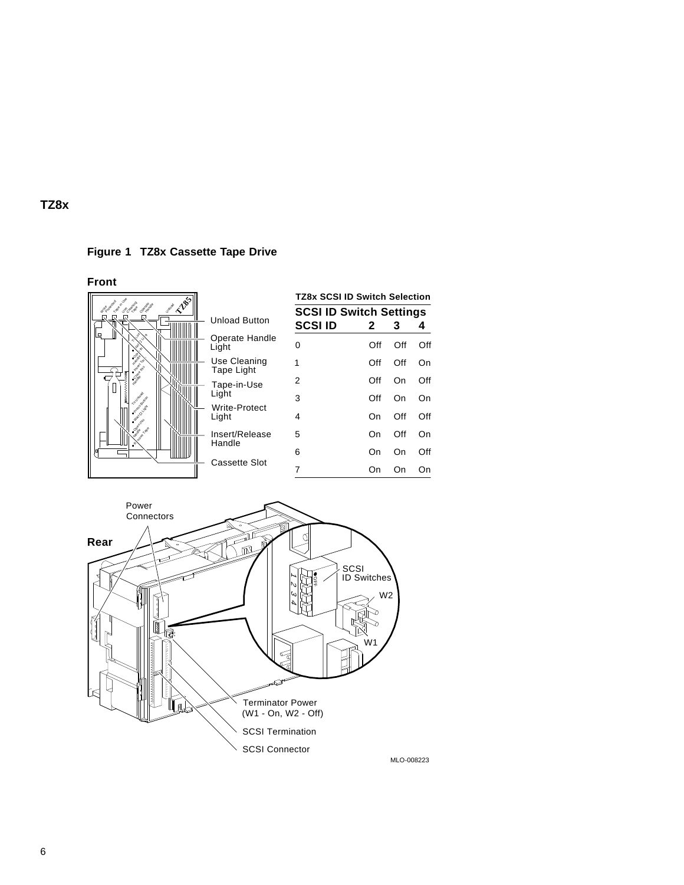

**Front**





MLO-008223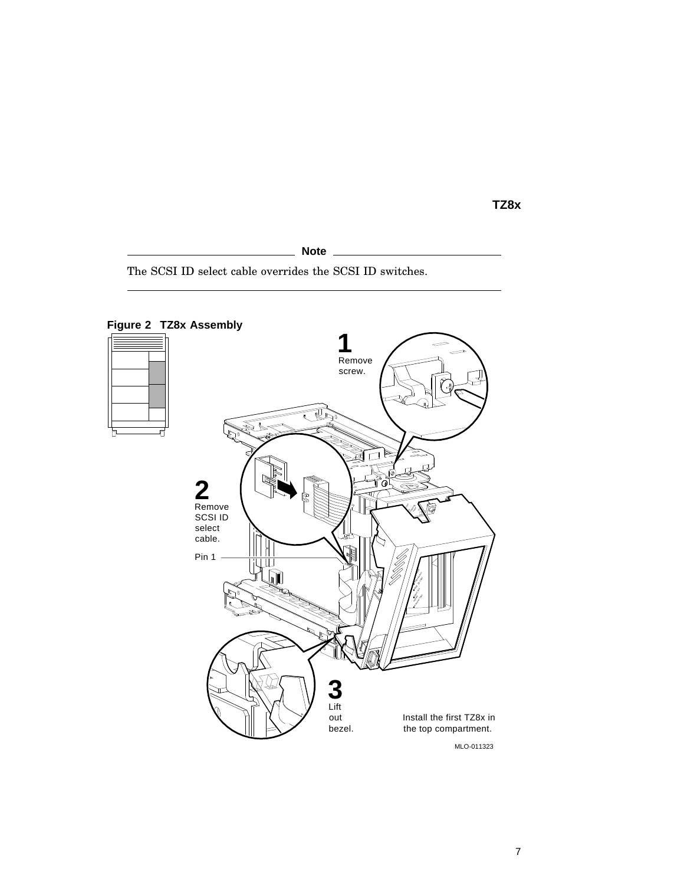**Note**

The SCSI ID select cable overrides the SCSI ID switches.



**Figure 2 TZ8x Assembly**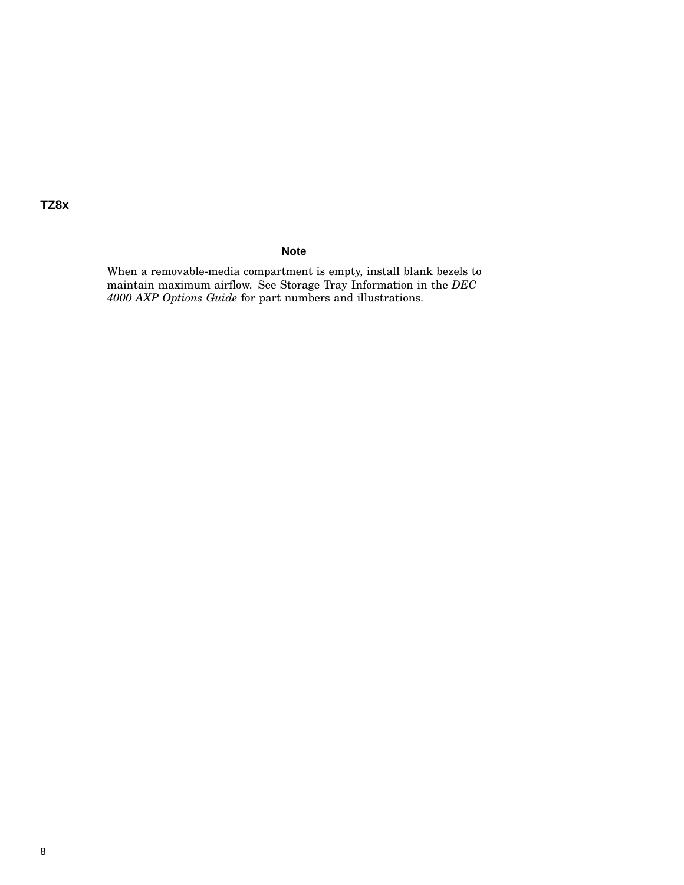\_ Note \_

When a removable-media compartment is empty, install blank bezels to maintain maximum airflow. See Storage Tray Information in the *DEC 4000 AXP Options Guide* for part numbers and illustrations.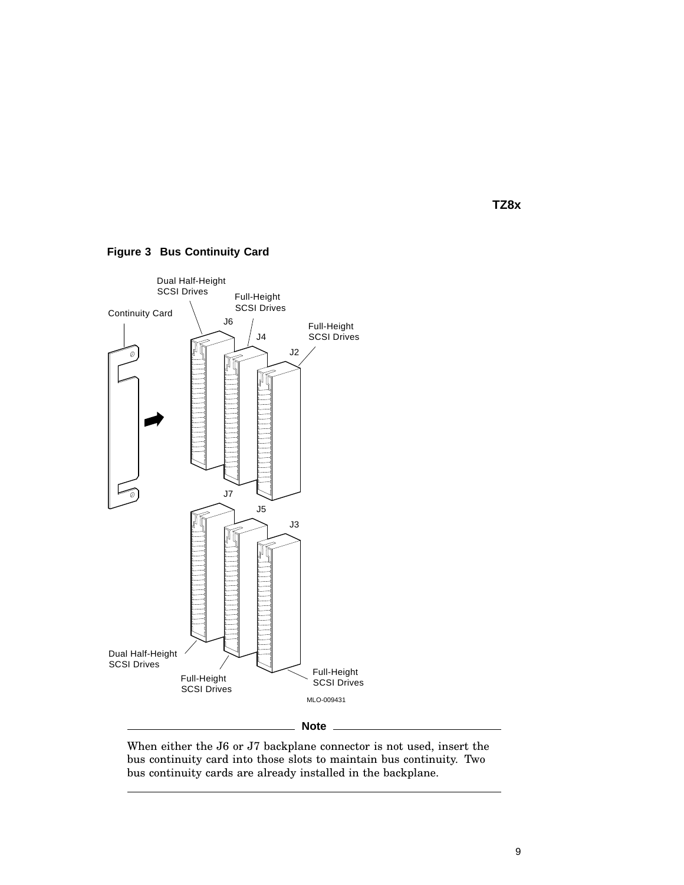

**Figure 3 Bus Continuity Card**

When either the J6 or J7 backplane connector is not used, insert the bus continuity card into those slots to maintain bus continuity. Two bus continuity cards are already installed in the backplane.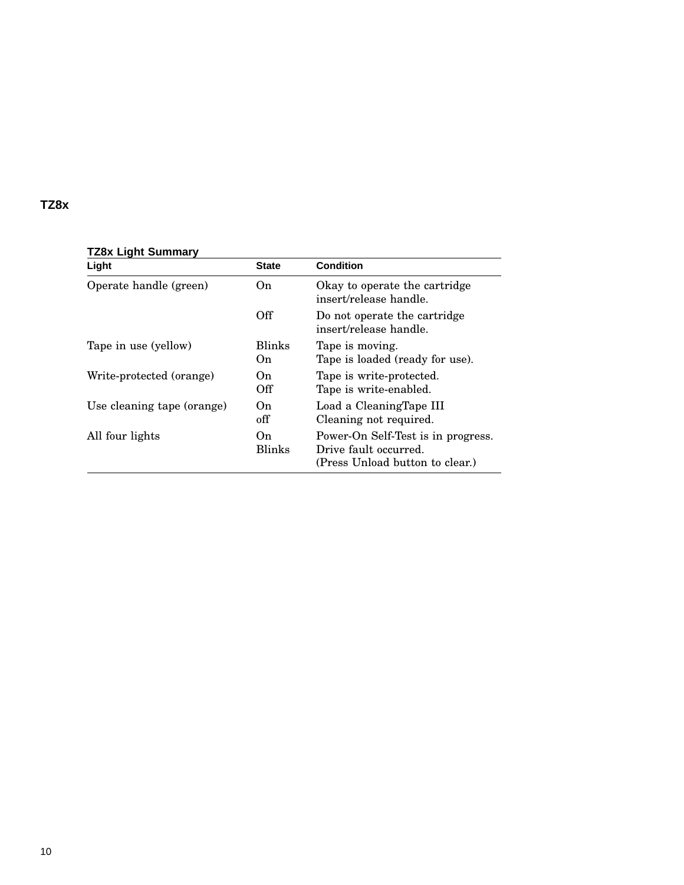| Light                      | <b>State</b>         | <b>Condition</b>                                                                               |
|----------------------------|----------------------|------------------------------------------------------------------------------------------------|
| Operate handle (green)     | On.                  | Okay to operate the cartridge<br>insert/release handle.                                        |
|                            | Off                  | Do not operate the cartridge<br>insert/release handle.                                         |
| Tape in use (yellow)       | <b>Blinks</b><br>On. | Tape is moving.<br>Tape is loaded (ready for use).                                             |
| Write-protected (orange)   | On<br>Off            | Tape is write-protected.<br>Tape is write-enabled.                                             |
| Use cleaning tape (orange) | On.<br>off           | Load a CleaningTape III<br>Cleaning not required.                                              |
| All four lights            | On.<br><b>Blinks</b> | Power-On Self-Test is in progress.<br>Drive fault occurred.<br>(Press Unload button to clear.) |

#### **TZ8x Light Summary**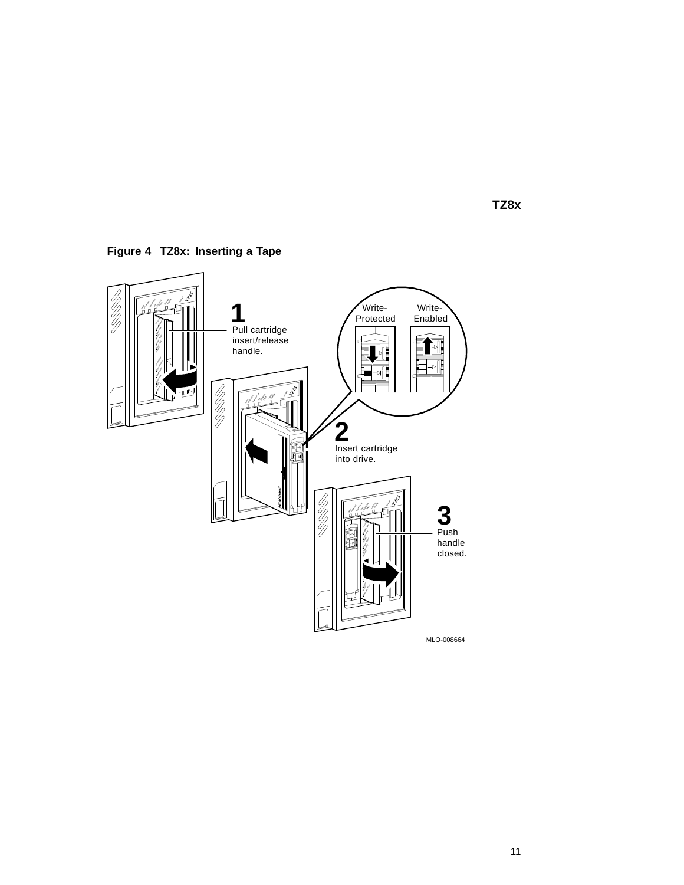

**Figure 4 TZ8x: Inserting a Tape**